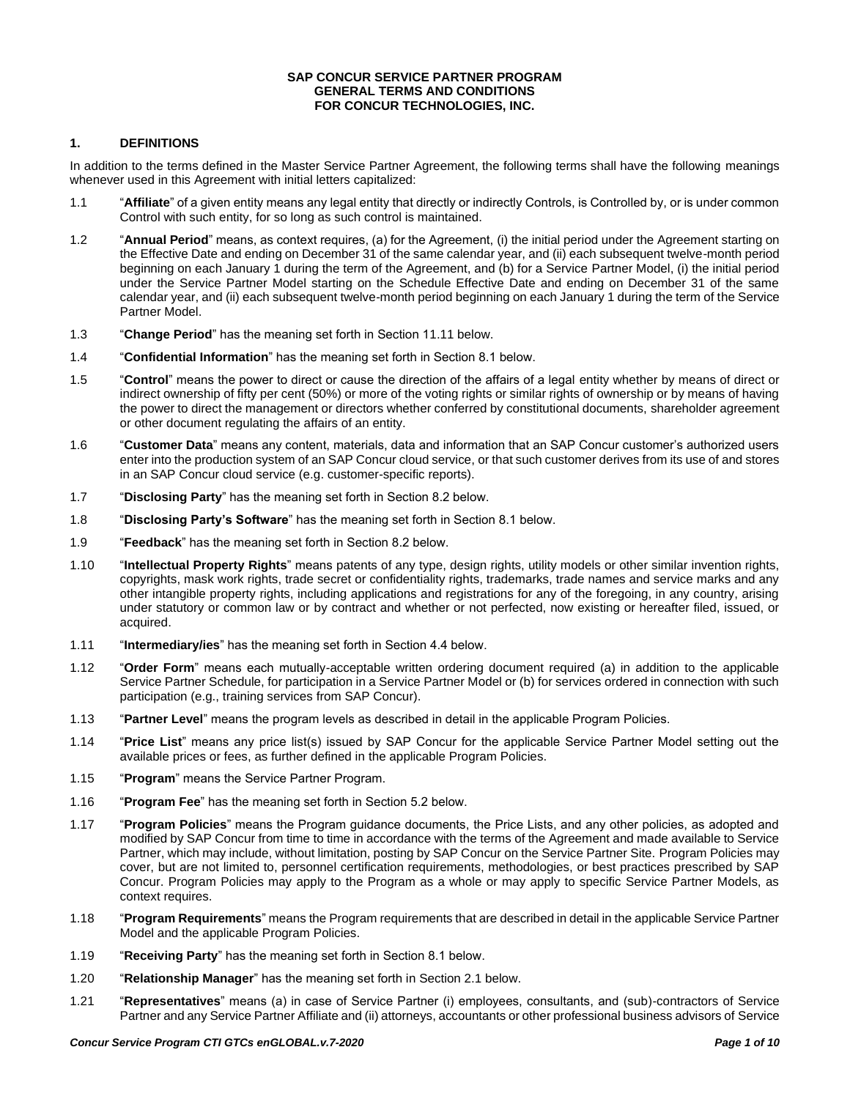#### **SAP CONCUR SERVICE PARTNER PROGRAM GENERAL TERMS AND CONDITIONS FOR CONCUR TECHNOLOGIES, INC.**

### **1. DEFINITIONS**

In addition to the terms defined in the Master Service Partner Agreement, the following terms shall have the following meanings whenever used in this Agreement with initial letters capitalized:

- 1.1 "**Affiliate**" of a given entity means any legal entity that directly or indirectly Controls, is Controlled by, or is under common Control with such entity, for so long as such control is maintained.
- 1.2 "**Annual Period**" means, as context requires, (a) for the Agreement, (i) the initial period under the Agreement starting on the Effective Date and ending on December 31 of the same calendar year, and (ii) each subsequent twelve-month period beginning on each January 1 during the term of the Agreement, and (b) for a Service Partner Model, (i) the initial period under the Service Partner Model starting on the Schedule Effective Date and ending on December 31 of the same calendar year, and (ii) each subsequent twelve-month period beginning on each January 1 during the term of the Service Partner Model.
- 1.3 "**Change Period**" has the meaning set forth in Section 11.11 below.
- 1.4 "**Confidential Information**" has the meaning set forth in Section 8.1 below.
- 1.5 "**Control**" means the power to direct or cause the direction of the affairs of a legal entity whether by means of direct or indirect ownership of fifty per cent (50%) or more of the voting rights or similar rights of ownership or by means of having the power to direct the management or directors whether conferred by constitutional documents, shareholder agreement or other document regulating the affairs of an entity.
- 1.6 "**Customer Data**" means any content, materials, data and information that an SAP Concur customer's authorized users enter into the production system of an SAP Concur cloud service, or that such customer derives from its use of and stores in an SAP Concur cloud service (e.g. customer-specific reports).
- 1.7 "**Disclosing Party**" has the meaning set forth in Section 8.2 below.
- 1.8 "**Disclosing Party's Software**" has the meaning set forth in Section 8.1 below.
- 1.9 "**Feedback**" has the meaning set forth in Section 8.2 below.
- 1.10 "**Intellectual Property Rights**" means patents of any type, design rights, utility models or other similar invention rights, copyrights, mask work rights, trade secret or confidentiality rights, trademarks, trade names and service marks and any other intangible property rights, including applications and registrations for any of the foregoing, in any country, arising under statutory or common law or by contract and whether or not perfected, now existing or hereafter filed, issued, or acquired.
- 1.11 "**Intermediary/ies**" has the meaning set forth in Section 4.4 below.
- 1.12 "**Order Form**" means each mutually-acceptable written ordering document required (a) in addition to the applicable Service Partner Schedule, for participation in a Service Partner Model or (b) for services ordered in connection with such participation (e.g., training services from SAP Concur).
- 1.13 "**Partner Level**" means the program levels as described in detail in the applicable Program Policies.
- 1.14 "**Price List**" means any price list(s) issued by SAP Concur for the applicable Service Partner Model setting out the available prices or fees, as further defined in the applicable Program Policies.
- 1.15 "**Program**" means the Service Partner Program.
- 1.16 "**Program Fee**" has the meaning set forth in Section 5.2 below.
- 1.17 "**Program Policies**" means the Program guidance documents, the Price Lists, and any other policies, as adopted and modified by SAP Concur from time to time in accordance with the terms of the Agreement and made available to Service Partner, which may include, without limitation, posting by SAP Concur on the Service Partner Site. Program Policies may cover, but are not limited to, personnel certification requirements, methodologies, or best practices prescribed by SAP Concur. Program Policies may apply to the Program as a whole or may apply to specific Service Partner Models, as context requires.
- 1.18 "**Program Requirements**" means the Program requirements that are described in detail in the applicable Service Partner Model and the applicable Program Policies.
- 1.19 "**Receiving Party**" has the meaning set forth in Section 8.1 below.
- 1.20 "**Relationship Manager**" has the meaning set forth in Section 2.1 below.
- 1.21 "**Representatives**" means (a) in case of Service Partner (i) employees, consultants, and (sub)-contractors of Service Partner and any Service Partner Affiliate and (ii) attorneys, accountants or other professional business advisors of Service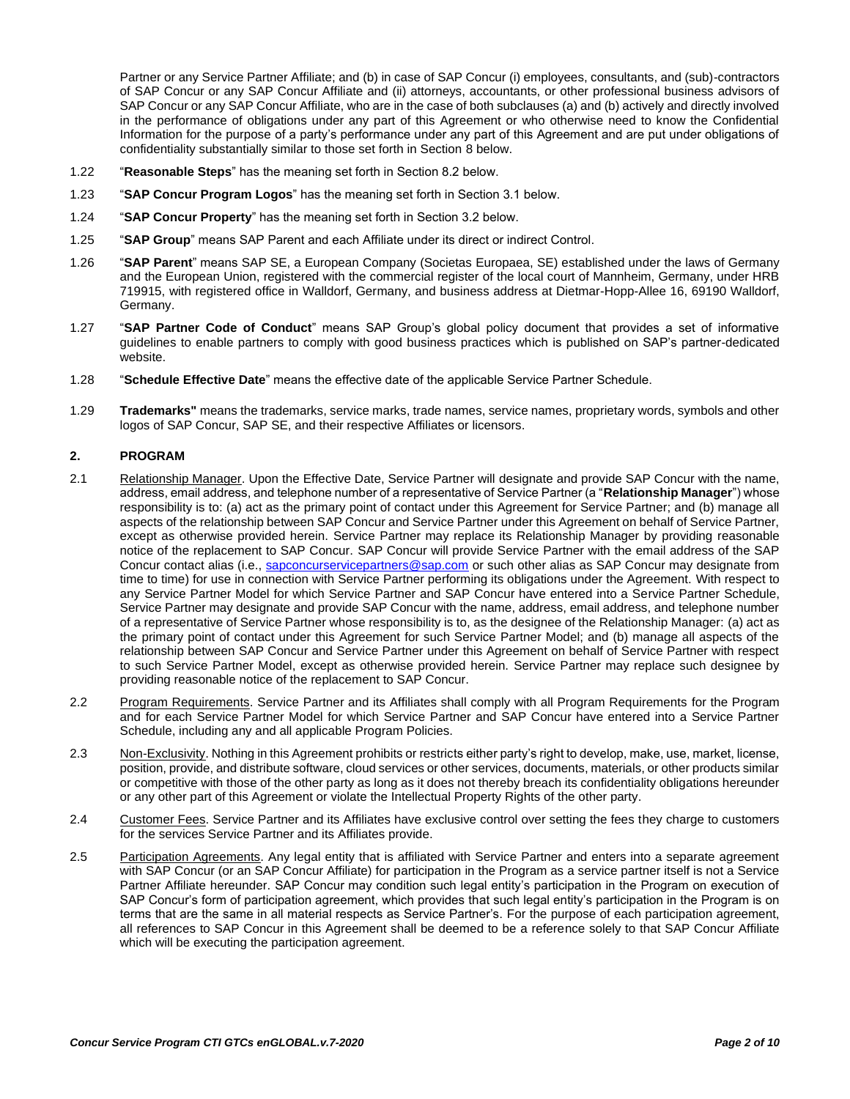Partner or any Service Partner Affiliate; and (b) in case of SAP Concur (i) employees, consultants, and (sub)-contractors of SAP Concur or any SAP Concur Affiliate and (ii) attorneys, accountants, or other professional business advisors of SAP Concur or any SAP Concur Affiliate, who are in the case of both subclauses (a) and (b) actively and directly involved in the performance of obligations under any part of this Agreement or who otherwise need to know the Confidential Information for the purpose of a party's performance under any part of this Agreement and are put under obligations of confidentiality substantially similar to those set forth in Section 8 below.

- 1.22 "**Reasonable Steps**" has the meaning set forth in Section 8.2 below.
- 1.23 "**SAP Concur Program Logos**" has the meaning set forth in Section 3.1 below.
- 1.24 "**SAP Concur Property**" has the meaning set forth in Section 3.2 below.
- 1.25 "**SAP Group**" means SAP Parent and each Affiliate under its direct or indirect Control.
- 1.26 "**SAP Parent**" means SAP SE, a European Company (Societas Europaea, SE) established under the laws of Germany and the European Union, registered with the commercial register of the local court of Mannheim, Germany, under HRB 719915, with registered office in Walldorf, Germany, and business address at Dietmar-Hopp-Allee 16, 69190 Walldorf, Germany.
- 1.27 "**SAP Partner Code of Conduct**" means SAP Group's global policy document that provides a set of informative guidelines to enable partners to comply with good business practices which is published on SAP's partner-dedicated website.
- 1.28 "**Schedule Effective Date**" means the effective date of the applicable Service Partner Schedule.
- 1.29 **Trademarks"** means the trademarks, service marks, trade names, service names, proprietary words, symbols and other logos of SAP Concur, SAP SE, and their respective Affiliates or licensors.

#### **2. PROGRAM**

- 2.1 Relationship Manager. Upon the Effective Date, Service Partner will designate and provide SAP Concur with the name, address, email address, and telephone number of a representative of Service Partner (a "**Relationship Manager**") whose responsibility is to: (a) act as the primary point of contact under this Agreement for Service Partner; and (b) manage all aspects of the relationship between SAP Concur and Service Partner under this Agreement on behalf of Service Partner, except as otherwise provided herein. Service Partner may replace its Relationship Manager by providing reasonable notice of the replacement to SAP Concur. SAP Concur will provide Service Partner with the email address of the SAP Concur contact alias (i.e., [sapconcurservicepartners@sap.com](mailto:sapconcurservicepartners@sap.com) or such other alias as SAP Concur may designate from time to time) for use in connection with Service Partner performing its obligations under the Agreement. With respect to any Service Partner Model for which Service Partner and SAP Concur have entered into a Service Partner Schedule, Service Partner may designate and provide SAP Concur with the name, address, email address, and telephone number of a representative of Service Partner whose responsibility is to, as the designee of the Relationship Manager: (a) act as the primary point of contact under this Agreement for such Service Partner Model; and (b) manage all aspects of the relationship between SAP Concur and Service Partner under this Agreement on behalf of Service Partner with respect to such Service Partner Model, except as otherwise provided herein. Service Partner may replace such designee by providing reasonable notice of the replacement to SAP Concur.
- 2.2 Program Requirements. Service Partner and its Affiliates shall comply with all Program Requirements for the Program and for each Service Partner Model for which Service Partner and SAP Concur have entered into a Service Partner Schedule, including any and all applicable Program Policies.
- 2.3 Non-Exclusivity. Nothing in this Agreement prohibits or restricts either party's right to develop, make, use, market, license, position, provide, and distribute software, cloud services or other services, documents, materials, or other products similar or competitive with those of the other party as long as it does not thereby breach its confidentiality obligations hereunder or any other part of this Agreement or violate the Intellectual Property Rights of the other party.
- 2.4 Customer Fees. Service Partner and its Affiliates have exclusive control over setting the fees they charge to customers for the services Service Partner and its Affiliates provide.
- 2.5 Participation Agreements. Any legal entity that is affiliated with Service Partner and enters into a separate agreement with SAP Concur (or an SAP Concur Affiliate) for participation in the Program as a service partner itself is not a Service Partner Affiliate hereunder. SAP Concur may condition such legal entity's participation in the Program on execution of SAP Concur's form of participation agreement, which provides that such legal entity's participation in the Program is on terms that are the same in all material respects as Service Partner's. For the purpose of each participation agreement, all references to SAP Concur in this Agreement shall be deemed to be a reference solely to that SAP Concur Affiliate which will be executing the participation agreement.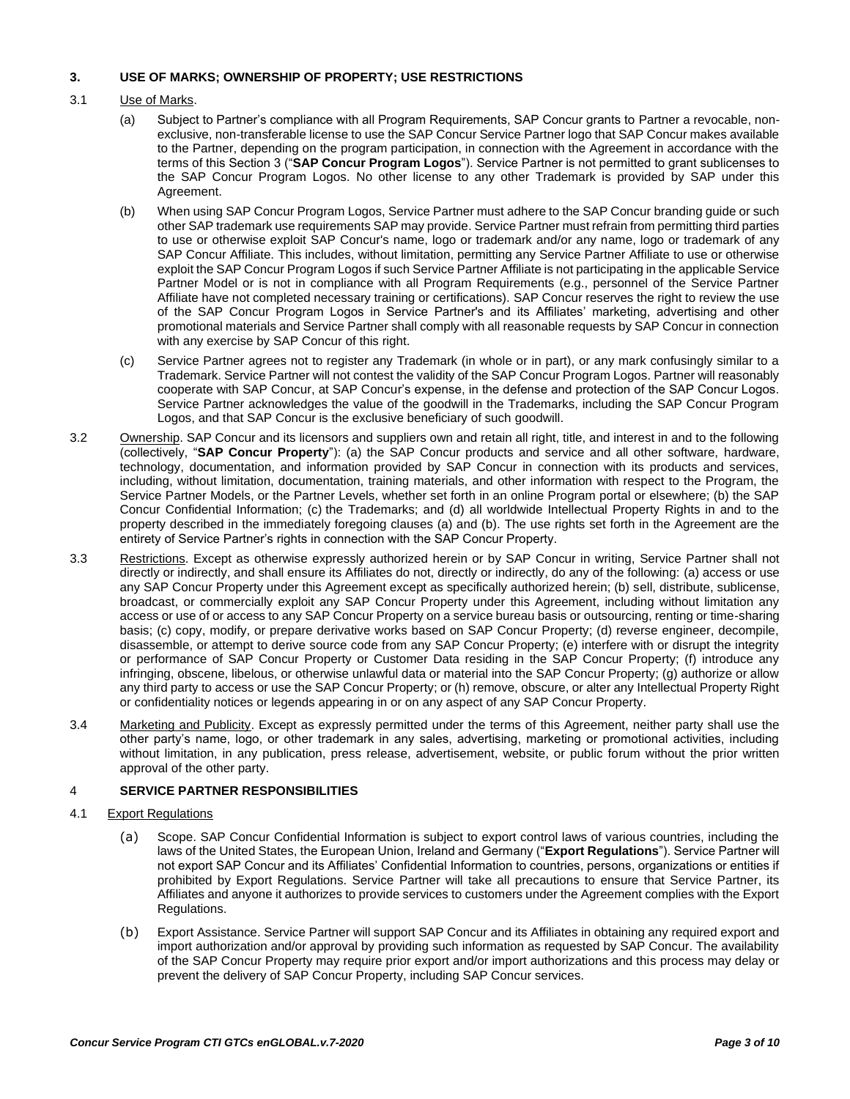## **3. USE OF MARKS; OWNERSHIP OF PROPERTY; USE RESTRICTIONS**

## 3.1 Use of Marks.

- (a) Subject to Partner's compliance with all Program Requirements, SAP Concur grants to Partner a revocable, nonexclusive, non-transferable license to use the SAP Concur Service Partner logo that SAP Concur makes available to the Partner, depending on the program participation, in connection with the Agreement in accordance with the terms of this Section 3 ("**SAP Concur Program Logos**"). Service Partner is not permitted to grant sublicenses to the SAP Concur Program Logos. No other license to any other Trademark is provided by SAP under this Agreement.
- (b) When using SAP Concur Program Logos, Service Partner must adhere to the SAP Concur branding guide or such other SAP trademark use requirements SAP may provide. Service Partner must refrain from permitting third parties to use or otherwise exploit SAP Concur's name, logo or trademark and/or any name, logo or trademark of any SAP Concur Affiliate. This includes, without limitation, permitting any Service Partner Affiliate to use or otherwise exploit the SAP Concur Program Logos if such Service Partner Affiliate is not participating in the applicable Service Partner Model or is not in compliance with all Program Requirements (e.g., personnel of the Service Partner Affiliate have not completed necessary training or certifications). SAP Concur reserves the right to review the use of the SAP Concur Program Logos in Service Partner's and its Affiliates' marketing, advertising and other promotional materials and Service Partner shall comply with all reasonable requests by SAP Concur in connection with any exercise by SAP Concur of this right.
- (c) Service Partner agrees not to register any Trademark (in whole or in part), or any mark confusingly similar to a Trademark. Service Partner will not contest the validity of the SAP Concur Program Logos. Partner will reasonably cooperate with SAP Concur, at SAP Concur's expense, in the defense and protection of the SAP Concur Logos. Service Partner acknowledges the value of the goodwill in the Trademarks, including the SAP Concur Program Logos, and that SAP Concur is the exclusive beneficiary of such goodwill.
- 3.2 Ownership. SAP Concur and its licensors and suppliers own and retain all right, title, and interest in and to the following (collectively, "**SAP Concur Property**"): (a) the SAP Concur products and service and all other software, hardware, technology, documentation, and information provided by SAP Concur in connection with its products and services, including, without limitation, documentation, training materials, and other information with respect to the Program, the Service Partner Models, or the Partner Levels, whether set forth in an online Program portal or elsewhere; (b) the SAP Concur Confidential Information; (c) the Trademarks; and (d) all worldwide Intellectual Property Rights in and to the property described in the immediately foregoing clauses (a) and (b). The use rights set forth in the Agreement are the entirety of Service Partner's rights in connection with the SAP Concur Property.
- 3.3 Restrictions. Except as otherwise expressly authorized herein or by SAP Concur in writing, Service Partner shall not directly or indirectly, and shall ensure its Affiliates do not, directly or indirectly, do any of the following: (a) access or use any SAP Concur Property under this Agreement except as specifically authorized herein; (b) sell, distribute, sublicense, broadcast, or commercially exploit any SAP Concur Property under this Agreement, including without limitation any access or use of or access to any SAP Concur Property on a service bureau basis or outsourcing, renting or time-sharing basis; (c) copy, modify, or prepare derivative works based on SAP Concur Property; (d) reverse engineer, decompile, disassemble, or attempt to derive source code from any SAP Concur Property; (e) interfere with or disrupt the integrity or performance of SAP Concur Property or Customer Data residing in the SAP Concur Property; (f) introduce any infringing, obscene, libelous, or otherwise unlawful data or material into the SAP Concur Property; (g) authorize or allow any third party to access or use the SAP Concur Property; or (h) remove, obscure, or alter any Intellectual Property Right or confidentiality notices or legends appearing in or on any aspect of any SAP Concur Property.
- 3.4 Marketing and Publicity. Except as expressly permitted under the terms of this Agreement, neither party shall use the other party's name, logo, or other trademark in any sales, advertising, marketing or promotional activities, including without limitation, in any publication, press release, advertisement, website, or public forum without the prior written approval of the other party.

# 4 **SERVICE PARTNER RESPONSIBILITIES**

### 4.1 Export Regulations

- (a) Scope. SAP Concur Confidential Information is subject to export control laws of various countries, including the laws of the United States, the European Union, Ireland and Germany ("**Export Regulations**"). Service Partner will not export SAP Concur and its Affiliates' Confidential Information to countries, persons, organizations or entities if prohibited by Export Regulations. Service Partner will take all precautions to ensure that Service Partner, its Affiliates and anyone it authorizes to provide services to customers under the Agreement complies with the Export Regulations.
- (b) Export Assistance. Service Partner will support SAP Concur and its Affiliates in obtaining any required export and import authorization and/or approval by providing such information as requested by SAP Concur. The availability of the SAP Concur Property may require prior export and/or import authorizations and this process may delay or prevent the delivery of SAP Concur Property, including SAP Concur services.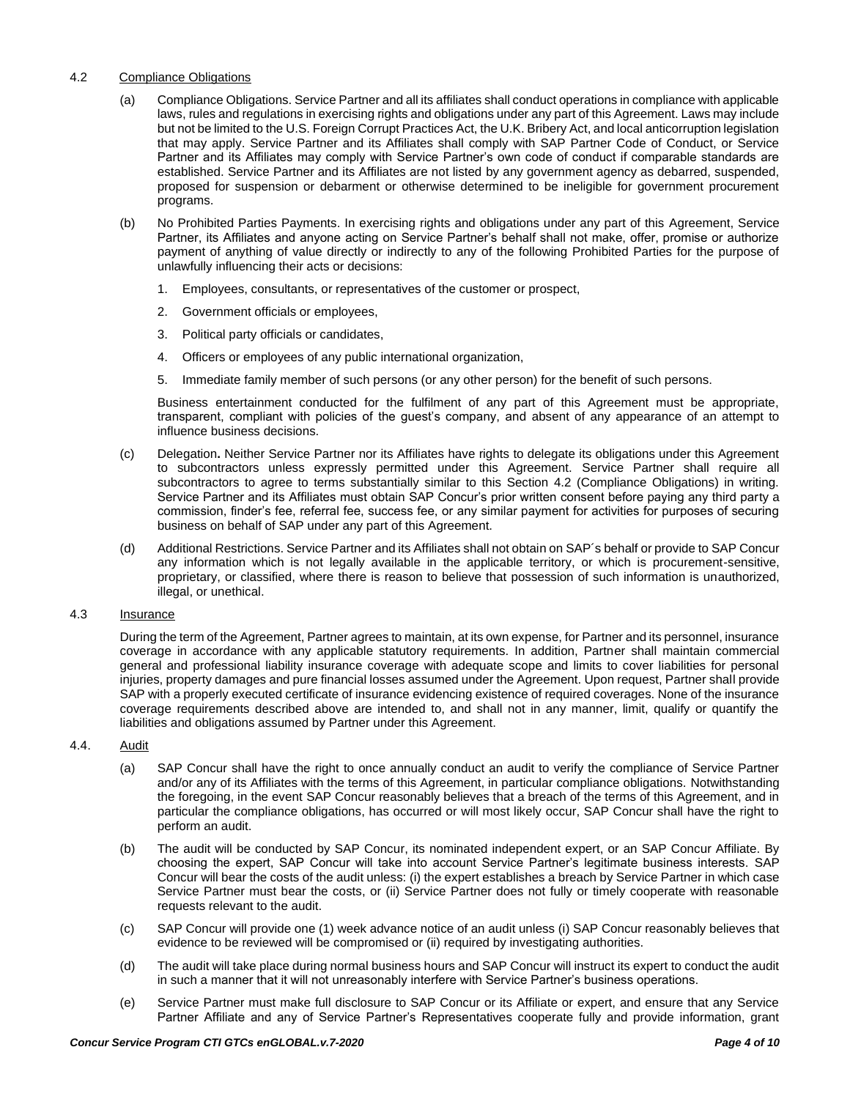## 4.2 Compliance Obligations

- (a) Compliance Obligations. Service Partner and all its affiliates shall conduct operations in compliance with applicable laws, rules and regulations in exercising rights and obligations under any part of this Agreement. Laws may include but not be limited to the U.S. Foreign Corrupt Practices Act, the U.K. Bribery Act, and local anticorruption legislation that may apply. Service Partner and its Affiliates shall comply with SAP Partner Code of Conduct, or Service Partner and its Affiliates may comply with Service Partner's own code of conduct if comparable standards are established. Service Partner and its Affiliates are not listed by any government agency as debarred, suspended, proposed for suspension or debarment or otherwise determined to be ineligible for government procurement programs.
- (b) No Prohibited Parties Payments. In exercising rights and obligations under any part of this Agreement, Service Partner, its Affiliates and anyone acting on Service Partner's behalf shall not make, offer, promise or authorize payment of anything of value directly or indirectly to any of the following Prohibited Parties for the purpose of unlawfully influencing their acts or decisions:
	- 1. Employees, consultants, or representatives of the customer or prospect,
	- 2. Government officials or employees,
	- 3. Political party officials or candidates,
	- 4. Officers or employees of any public international organization,
	- 5. Immediate family member of such persons (or any other person) for the benefit of such persons.

Business entertainment conducted for the fulfilment of any part of this Agreement must be appropriate, transparent, compliant with policies of the guest's company, and absent of any appearance of an attempt to influence business decisions.

- (c) Delegation**.** Neither Service Partner nor its Affiliates have rights to delegate its obligations under this Agreement to subcontractors unless expressly permitted under this Agreement. Service Partner shall require all subcontractors to agree to terms substantially similar to this Section 4.2 (Compliance Obligations) in writing. Service Partner and its Affiliates must obtain SAP Concur's prior written consent before paying any third party a commission, finder's fee, referral fee, success fee, or any similar payment for activities for purposes of securing business on behalf of SAP under any part of this Agreement.
- (d) Additional Restrictions. Service Partner and its Affiliates shall not obtain on SAP´s behalf or provide to SAP Concur any information which is not legally available in the applicable territory, or which is procurement-sensitive, proprietary, or classified, where there is reason to believe that possession of such information is unauthorized, illegal, or unethical.

# 4.3 Insurance

During the term of the Agreement, Partner agrees to maintain, at its own expense, for Partner and its personnel, insurance coverage in accordance with any applicable statutory requirements. In addition, Partner shall maintain commercial general and professional liability insurance coverage with adequate scope and limits to cover liabilities for personal injuries, property damages and pure financial losses assumed under the Agreement. Upon request, Partner shall provide SAP with a properly executed certificate of insurance evidencing existence of required coverages. None of the insurance coverage requirements described above are intended to, and shall not in any manner, limit, qualify or quantify the liabilities and obligations assumed by Partner under this Agreement.

# 4.4. Audit

- (a) SAP Concur shall have the right to once annually conduct an audit to verify the compliance of Service Partner and/or any of its Affiliates with the terms of this Agreement, in particular compliance obligations. Notwithstanding the foregoing, in the event SAP Concur reasonably believes that a breach of the terms of this Agreement, and in particular the compliance obligations, has occurred or will most likely occur, SAP Concur shall have the right to perform an audit.
- (b) The audit will be conducted by SAP Concur, its nominated independent expert, or an SAP Concur Affiliate. By choosing the expert, SAP Concur will take into account Service Partner's legitimate business interests. SAP Concur will bear the costs of the audit unless: (i) the expert establishes a breach by Service Partner in which case Service Partner must bear the costs, or (ii) Service Partner does not fully or timely cooperate with reasonable requests relevant to the audit.
- (c) SAP Concur will provide one (1) week advance notice of an audit unless (i) SAP Concur reasonably believes that evidence to be reviewed will be compromised or (ii) required by investigating authorities.
- (d) The audit will take place during normal business hours and SAP Concur will instruct its expert to conduct the audit in such a manner that it will not unreasonably interfere with Service Partner's business operations.
- (e) Service Partner must make full disclosure to SAP Concur or its Affiliate or expert, and ensure that any Service Partner Affiliate and any of Service Partner's Representatives cooperate fully and provide information, grant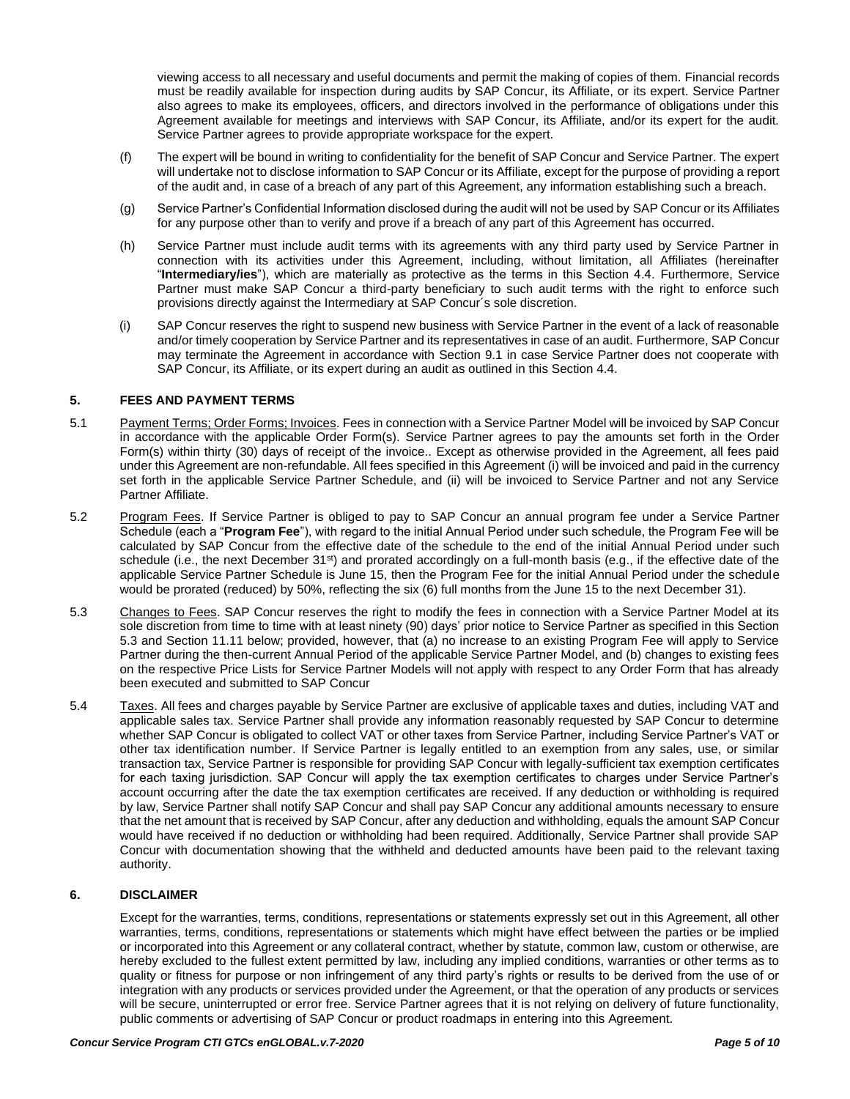viewing access to all necessary and useful documents and permit the making of copies of them. Financial records must be readily available for inspection during audits by SAP Concur, its Affiliate, or its expert. Service Partner also agrees to make its employees, officers, and directors involved in the performance of obligations under this Agreement available for meetings and interviews with SAP Concur, its Affiliate, and/or its expert for the audit. Service Partner agrees to provide appropriate workspace for the expert.

- (f) The expert will be bound in writing to confidentiality for the benefit of SAP Concur and Service Partner. The expert will undertake not to disclose information to SAP Concur or its Affiliate, except for the purpose of providing a report of the audit and, in case of a breach of any part of this Agreement, any information establishing such a breach.
- (g) Service Partner's Confidential Information disclosed during the audit will not be used by SAP Concur or its Affiliates for any purpose other than to verify and prove if a breach of any part of this Agreement has occurred.
- (h) Service Partner must include audit terms with its agreements with any third party used by Service Partner in connection with its activities under this Agreement, including, without limitation, all Affiliates (hereinafter "**Intermediary/ies**"), which are materially as protective as the terms in this Section 4.4. Furthermore, Service Partner must make SAP Concur a third-party beneficiary to such audit terms with the right to enforce such provisions directly against the Intermediary at SAP Concur´s sole discretion.
- (i) SAP Concur reserves the right to suspend new business with Service Partner in the event of a lack of reasonable and/or timely cooperation by Service Partner and its representatives in case of an audit. Furthermore, SAP Concur may terminate the Agreement in accordance with Section 9.1 in case Service Partner does not cooperate with SAP Concur, its Affiliate, or its expert during an audit as outlined in this Section 4.4.

### **5. FEES AND PAYMENT TERMS**

- 5.1 Payment Terms; Order Forms; Invoices. Fees in connection with a Service Partner Model will be invoiced by SAP Concur in accordance with the applicable Order Form(s). Service Partner agrees to pay the amounts set forth in the Order Form(s) within thirty (30) days of receipt of the invoice.. Except as otherwise provided in the Agreement, all fees paid under this Agreement are non-refundable. All fees specified in this Agreement (i) will be invoiced and paid in the currency set forth in the applicable Service Partner Schedule, and (ii) will be invoiced to Service Partner and not any Service Partner Affiliate.
- 5.2 Program Fees. If Service Partner is obliged to pay to SAP Concur an annual program fee under a Service Partner Schedule (each a "**Program Fee**"), with regard to the initial Annual Period under such schedule, the Program Fee will be calculated by SAP Concur from the effective date of the schedule to the end of the initial Annual Period under such schedule (i.e., the next December  $31<sup>st</sup>$ ) and prorated accordingly on a full-month basis (e.g., if the effective date of the applicable Service Partner Schedule is June 15, then the Program Fee for the initial Annual Period under the schedule would be prorated (reduced) by 50%, reflecting the six (6) full months from the June 15 to the next December 31).
- 5.3 Changes to Fees. SAP Concur reserves the right to modify the fees in connection with a Service Partner Model at its sole discretion from time to time with at least ninety (90) days' prior notice to Service Partner as specified in this Section 5.3 and Section 11.11 below; provided, however, that (a) no increase to an existing Program Fee will apply to Service Partner during the then-current Annual Period of the applicable Service Partner Model, and (b) changes to existing fees on the respective Price Lists for Service Partner Models will not apply with respect to any Order Form that has already been executed and submitted to SAP Concur
- 5.4 Taxes. All fees and charges payable by Service Partner are exclusive of applicable taxes and duties, including VAT and applicable sales tax. Service Partner shall provide any information reasonably requested by SAP Concur to determine whether SAP Concur is obligated to collect VAT or other taxes from Service Partner, including Service Partner's VAT or other tax identification number. If Service Partner is legally entitled to an exemption from any sales, use, or similar transaction tax, Service Partner is responsible for providing SAP Concur with legally-sufficient tax exemption certificates for each taxing jurisdiction. SAP Concur will apply the tax exemption certificates to charges under Service Partner's account occurring after the date the tax exemption certificates are received. If any deduction or withholding is required by law, Service Partner shall notify SAP Concur and shall pay SAP Concur any additional amounts necessary to ensure that the net amount that is received by SAP Concur, after any deduction and withholding, equals the amount SAP Concur would have received if no deduction or withholding had been required. Additionally, Service Partner shall provide SAP Concur with documentation showing that the withheld and deducted amounts have been paid to the relevant taxing authority.

# **6. DISCLAIMER**

Except for the warranties, terms, conditions, representations or statements expressly set out in this Agreement, all other warranties, terms, conditions, representations or statements which might have effect between the parties or be implied or incorporated into this Agreement or any collateral contract, whether by statute, common law, custom or otherwise, are hereby excluded to the fullest extent permitted by law, including any implied conditions, warranties or other terms as to quality or fitness for purpose or non infringement of any third party's rights or results to be derived from the use of or integration with any products or services provided under the Agreement, or that the operation of any products or services will be secure, uninterrupted or error free. Service Partner agrees that it is not relying on delivery of future functionality, public comments or advertising of SAP Concur or product roadmaps in entering into this Agreement.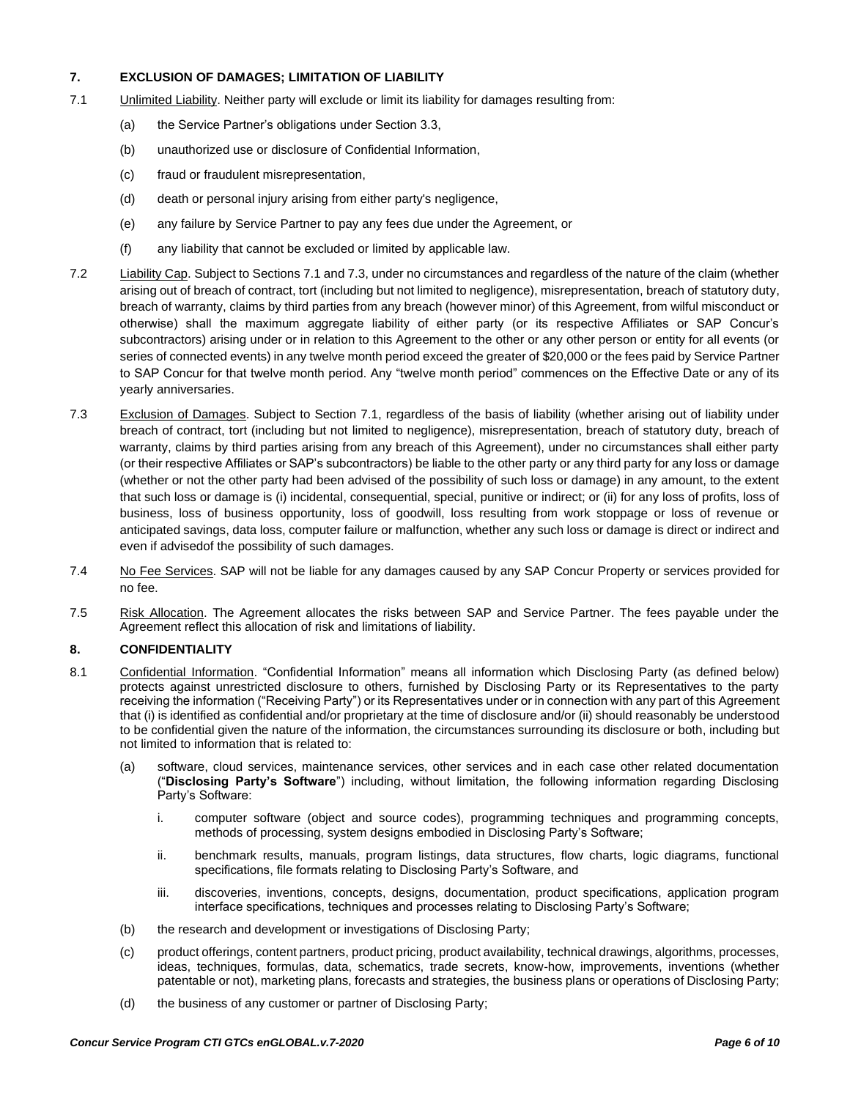# **7. EXCLUSION OF DAMAGES; LIMITATION OF LIABILITY**

- 7.1 Unlimited Liability. Neither party will exclude or limit its liability for damages resulting from:
	- (a) the Service Partner's obligations under Section 3.3,
	- (b) unauthorized use or disclosure of Confidential Information,
	- (c) fraud or fraudulent misrepresentation,
	- (d) death or personal injury arising from either party's negligence,
	- (e) any failure by Service Partner to pay any fees due under the Agreement, or
	- (f) any liability that cannot be excluded or limited by applicable law.
- 7.2 Liability Cap. Subject to Sections 7.1 and 7.3, under no circumstances and regardless of the nature of the claim (whether arising out of breach of contract, tort (including but not limited to negligence), misrepresentation, breach of statutory duty, breach of warranty, claims by third parties from any breach (however minor) of this Agreement, from wilful misconduct or otherwise) shall the maximum aggregate liability of either party (or its respective Affiliates or SAP Concur's subcontractors) arising under or in relation to this Agreement to the other or any other person or entity for all events (or series of connected events) in any twelve month period exceed the greater of \$20,000 or the fees paid by Service Partner to SAP Concur for that twelve month period. Any "twelve month period" commences on the Effective Date or any of its yearly anniversaries.
- 7.3 Exclusion of Damages. Subject to Section 7.1, regardless of the basis of liability (whether arising out of liability under breach of contract, tort (including but not limited to negligence), misrepresentation, breach of statutory duty, breach of warranty, claims by third parties arising from any breach of this Agreement), under no circumstances shall either party (or their respective Affiliates or SAP's subcontractors) be liable to the other party or any third party for any loss or damage (whether or not the other party had been advised of the possibility of such loss or damage) in any amount, to the extent that such loss or damage is (i) incidental, consequential, special, punitive or indirect; or (ii) for any loss of profits, loss of business, loss of business opportunity, loss of goodwill, loss resulting from work stoppage or loss of revenue or anticipated savings, data loss, computer failure or malfunction, whether any such loss or damage is direct or indirect and even if advisedof the possibility of such damages.
- 7.4 No Fee Services. SAP will not be liable for any damages caused by any SAP Concur Property or services provided for no fee.
- 7.5 Risk Allocation. The Agreement allocates the risks between SAP and Service Partner. The fees payable under the Agreement reflect this allocation of risk and limitations of liability.

# **8. CONFIDENTIALITY**

- 8.1 Confidential Information. "Confidential Information" means all information which Disclosing Party (as defined below) protects against unrestricted disclosure to others, furnished by Disclosing Party or its Representatives to the party receiving the information ("Receiving Party") or its Representatives under or in connection with any part of this Agreement that (i) is identified as confidential and/or proprietary at the time of disclosure and/or (ii) should reasonably be understood to be confidential given the nature of the information, the circumstances surrounding its disclosure or both, including but not limited to information that is related to:
	- (a) software, cloud services, maintenance services, other services and in each case other related documentation ("**Disclosing Party's Software**") including, without limitation, the following information regarding Disclosing Party's Software:
		- i. computer software (object and source codes), programming techniques and programming concepts, methods of processing, system designs embodied in Disclosing Party's Software;
		- ii. benchmark results, manuals, program listings, data structures, flow charts, logic diagrams, functional specifications, file formats relating to Disclosing Party's Software, and
		- iii. discoveries, inventions, concepts, designs, documentation, product specifications, application program interface specifications, techniques and processes relating to Disclosing Party's Software;
	- (b) the research and development or investigations of Disclosing Party;
	- (c) product offerings, content partners, product pricing, product availability, technical drawings, algorithms, processes, ideas, techniques, formulas, data, schematics, trade secrets, know-how, improvements, inventions (whether patentable or not), marketing plans, forecasts and strategies, the business plans or operations of Disclosing Party;
	- (d) the business of any customer or partner of Disclosing Party;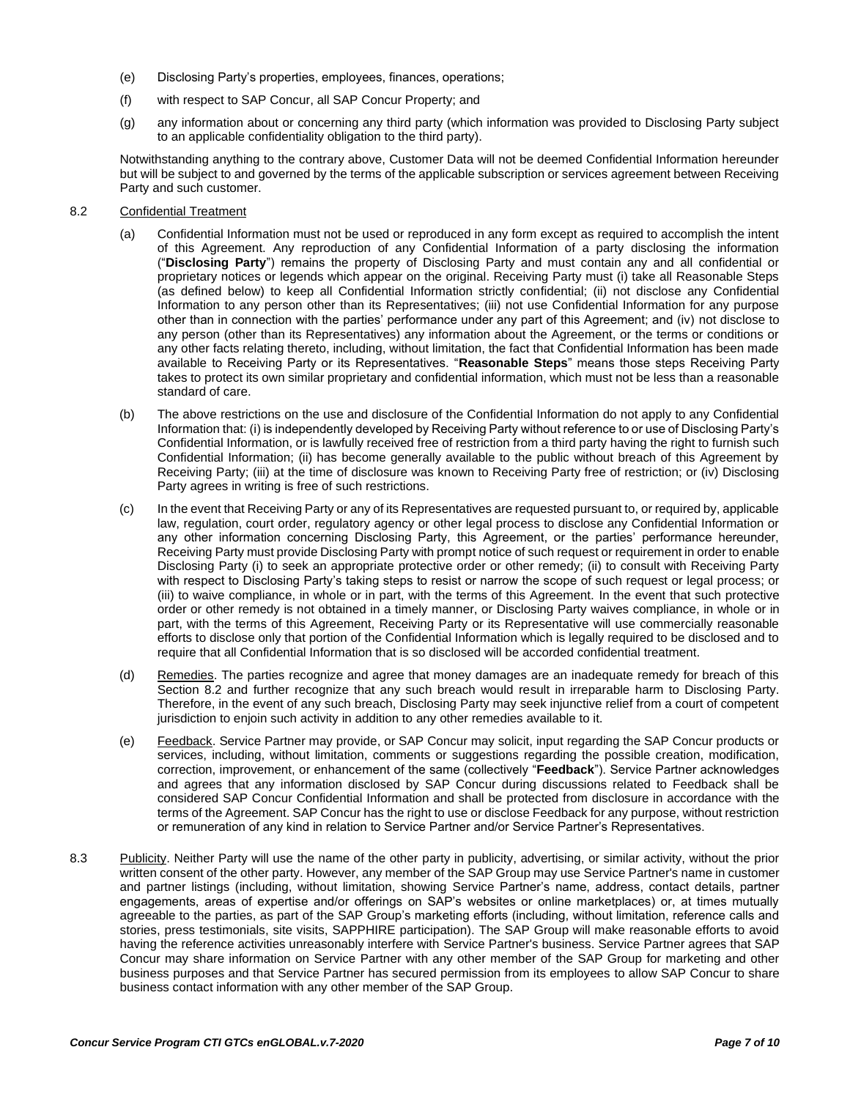- (e) Disclosing Party's properties, employees, finances, operations;
- (f) with respect to SAP Concur, all SAP Concur Property; and
- (g) any information about or concerning any third party (which information was provided to Disclosing Party subject to an applicable confidentiality obligation to the third party).

Notwithstanding anything to the contrary above, Customer Data will not be deemed Confidential Information hereunder but will be subject to and governed by the terms of the applicable subscription or services agreement between Receiving Party and such customer.

#### 8.2 Confidential Treatment

- (a) Confidential Information must not be used or reproduced in any form except as required to accomplish the intent of this Agreement. Any reproduction of any Confidential Information of a party disclosing the information ("**Disclosing Party**") remains the property of Disclosing Party and must contain any and all confidential or proprietary notices or legends which appear on the original. Receiving Party must (i) take all Reasonable Steps (as defined below) to keep all Confidential Information strictly confidential; (ii) not disclose any Confidential Information to any person other than its Representatives; (iii) not use Confidential Information for any purpose other than in connection with the parties' performance under any part of this Agreement; and (iv) not disclose to any person (other than its Representatives) any information about the Agreement, or the terms or conditions or any other facts relating thereto, including, without limitation, the fact that Confidential Information has been made available to Receiving Party or its Representatives. "**Reasonable Steps**" means those steps Receiving Party takes to protect its own similar proprietary and confidential information, which must not be less than a reasonable standard of care.
- (b) The above restrictions on the use and disclosure of the Confidential Information do not apply to any Confidential Information that: (i) is independently developed by Receiving Party without reference to or use of Disclosing Party's Confidential Information, or is lawfully received free of restriction from a third party having the right to furnish such Confidential Information; (ii) has become generally available to the public without breach of this Agreement by Receiving Party; (iii) at the time of disclosure was known to Receiving Party free of restriction; or (iv) Disclosing Party agrees in writing is free of such restrictions.
- (c) In the event that Receiving Party or any of its Representatives are requested pursuant to, or required by, applicable law, regulation, court order, regulatory agency or other legal process to disclose any Confidential Information or any other information concerning Disclosing Party, this Agreement, or the parties' performance hereunder, Receiving Party must provide Disclosing Party with prompt notice of such request or requirement in order to enable Disclosing Party (i) to seek an appropriate protective order or other remedy; (ii) to consult with Receiving Party with respect to Disclosing Party's taking steps to resist or narrow the scope of such request or legal process; or (iii) to waive compliance, in whole or in part, with the terms of this Agreement. In the event that such protective order or other remedy is not obtained in a timely manner, or Disclosing Party waives compliance, in whole or in part, with the terms of this Agreement, Receiving Party or its Representative will use commercially reasonable efforts to disclose only that portion of the Confidential Information which is legally required to be disclosed and to require that all Confidential Information that is so disclosed will be accorded confidential treatment.
- (d) Remedies. The parties recognize and agree that money damages are an inadequate remedy for breach of this Section 8.2 and further recognize that any such breach would result in irreparable harm to Disclosing Party. Therefore, in the event of any such breach, Disclosing Party may seek injunctive relief from a court of competent jurisdiction to enjoin such activity in addition to any other remedies available to it.
- (e) Feedback. Service Partner may provide, or SAP Concur may solicit, input regarding the SAP Concur products or services, including, without limitation, comments or suggestions regarding the possible creation, modification, correction, improvement, or enhancement of the same (collectively "**Feedback**"). Service Partner acknowledges and agrees that any information disclosed by SAP Concur during discussions related to Feedback shall be considered SAP Concur Confidential Information and shall be protected from disclosure in accordance with the terms of the Agreement. SAP Concur has the right to use or disclose Feedback for any purpose, without restriction or remuneration of any kind in relation to Service Partner and/or Service Partner's Representatives.
- 8.3 Publicity. Neither Party will use the name of the other party in publicity, advertising, or similar activity, without the prior written consent of the other party. However, any member of the SAP Group may use Service Partner's name in customer and partner listings (including, without limitation, showing Service Partner's name, address, contact details, partner engagements, areas of expertise and/or offerings on SAP's websites or online marketplaces) or, at times mutually agreeable to the parties, as part of the SAP Group's marketing efforts (including, without limitation, reference calls and stories, press testimonials, site visits, SAPPHIRE participation). The SAP Group will make reasonable efforts to avoid having the reference activities unreasonably interfere with Service Partner's business. Service Partner agrees that SAP Concur may share information on Service Partner with any other member of the SAP Group for marketing and other business purposes and that Service Partner has secured permission from its employees to allow SAP Concur to share business contact information with any other member of the SAP Group.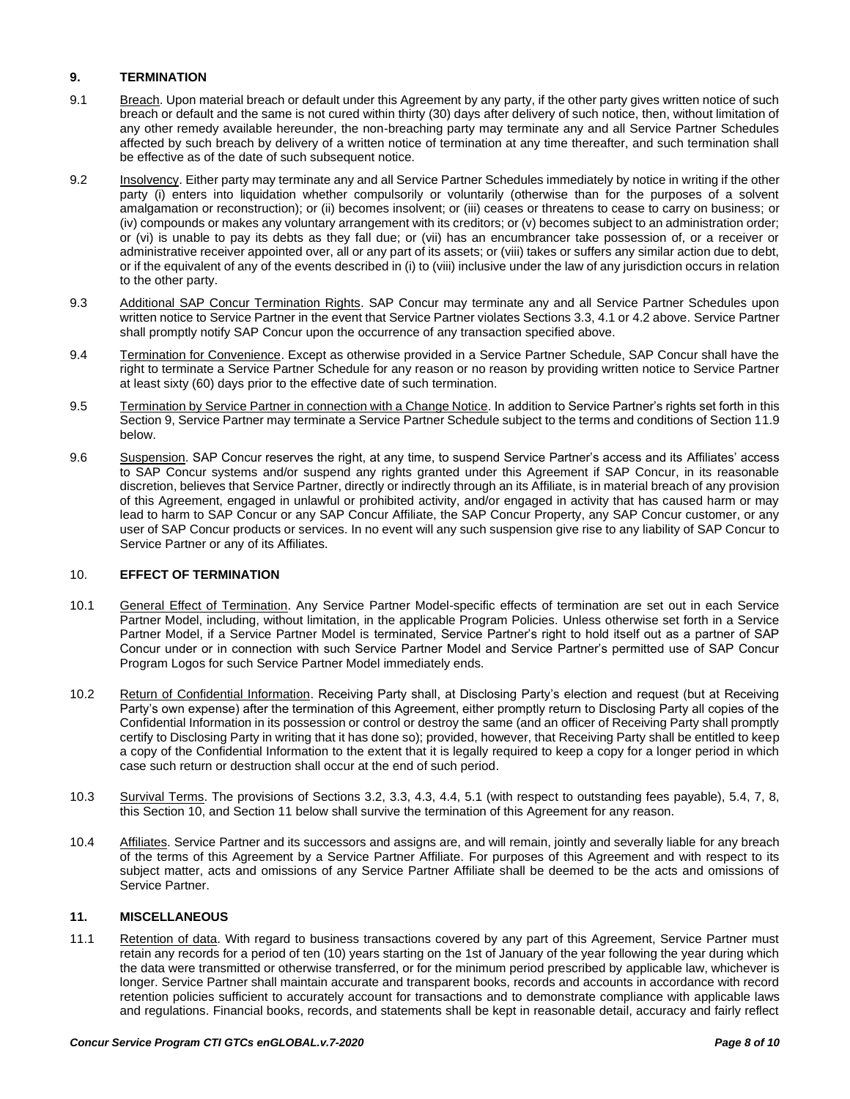# **9. TERMINATION**

- 9.1 Breach. Upon material breach or default under this Agreement by any party, if the other party gives written notice of such breach or default and the same is not cured within thirty (30) days after delivery of such notice, then, without limitation of any other remedy available hereunder, the non-breaching party may terminate any and all Service Partner Schedules affected by such breach by delivery of a written notice of termination at any time thereafter, and such termination shall be effective as of the date of such subsequent notice.
- 9.2 Insolvency. Either party may terminate any and all Service Partner Schedules immediately by notice in writing if the other party (i) enters into liquidation whether compulsorily or voluntarily (otherwise than for the purposes of a solvent amalgamation or reconstruction); or (ii) becomes insolvent; or (iii) ceases or threatens to cease to carry on business; or (iv) compounds or makes any voluntary arrangement with its creditors; or (v) becomes subject to an administration order; or (vi) is unable to pay its debts as they fall due; or (vii) has an encumbrancer take possession of, or a receiver or administrative receiver appointed over, all or any part of its assets; or (viii) takes or suffers any similar action due to debt, or if the equivalent of any of the events described in (i) to (viii) inclusive under the law of any jurisdiction occurs in relation to the other party.
- 9.3 Additional SAP Concur Termination Rights. SAP Concur may terminate any and all Service Partner Schedules upon written notice to Service Partner in the event that Service Partner violates Sections 3.3, 4.1 or 4.2 above. Service Partner shall promptly notify SAP Concur upon the occurrence of any transaction specified above.
- 9.4 Termination for Convenience. Except as otherwise provided in a Service Partner Schedule, SAP Concur shall have the right to terminate a Service Partner Schedule for any reason or no reason by providing written notice to Service Partner at least sixty (60) days prior to the effective date of such termination.
- 9.5 Termination by Service Partner in connection with a Change Notice. In addition to Service Partner's rights set forth in this Section 9, Service Partner may terminate a Service Partner Schedule subject to the terms and conditions of Section 11.9 below.
- 9.6 Suspension. SAP Concur reserves the right, at any time, to suspend Service Partner's access and its Affiliates' access to SAP Concur systems and/or suspend any rights granted under this Agreement if SAP Concur, in its reasonable discretion, believes that Service Partner, directly or indirectly through an its Affiliate, is in material breach of any provision of this Agreement, engaged in unlawful or prohibited activity, and/or engaged in activity that has caused harm or may lead to harm to SAP Concur or any SAP Concur Affiliate, the SAP Concur Property, any SAP Concur customer, or any user of SAP Concur products or services. In no event will any such suspension give rise to any liability of SAP Concur to Service Partner or any of its Affiliates.

# 10. **EFFECT OF TERMINATION**

- 10.1 General Effect of Termination. Any Service Partner Model-specific effects of termination are set out in each Service Partner Model, including, without limitation, in the applicable Program Policies. Unless otherwise set forth in a Service Partner Model, if a Service Partner Model is terminated, Service Partner's right to hold itself out as a partner of SAP Concur under or in connection with such Service Partner Model and Service Partner's permitted use of SAP Concur Program Logos for such Service Partner Model immediately ends.
- 10.2 Return of Confidential Information. Receiving Party shall, at Disclosing Party's election and request (but at Receiving Party's own expense) after the termination of this Agreement, either promptly return to Disclosing Party all copies of the Confidential Information in its possession or control or destroy the same (and an officer of Receiving Party shall promptly certify to Disclosing Party in writing that it has done so); provided, however, that Receiving Party shall be entitled to keep a copy of the Confidential Information to the extent that it is legally required to keep a copy for a longer period in which case such return or destruction shall occur at the end of such period.
- 10.3 Survival Terms. The provisions of Sections 3.2, 3.3, 4.3, 4.4, 5.1 (with respect to outstanding fees payable), 5.4, 7, 8, this Section 10, and Section 11 below shall survive the termination of this Agreement for any reason.
- 10.4 Affiliates. Service Partner and its successors and assigns are, and will remain, jointly and severally liable for any breach of the terms of this Agreement by a Service Partner Affiliate. For purposes of this Agreement and with respect to its subject matter, acts and omissions of any Service Partner Affiliate shall be deemed to be the acts and omissions of Service Partner.

# **11. MISCELLANEOUS**

11.1 Retention of data. With regard to business transactions covered by any part of this Agreement, Service Partner must retain any records for a period of ten (10) years starting on the 1st of January of the year following the year during which the data were transmitted or otherwise transferred, or for the minimum period prescribed by applicable law, whichever is longer. Service Partner shall maintain accurate and transparent books, records and accounts in accordance with record retention policies sufficient to accurately account for transactions and to demonstrate compliance with applicable laws and regulations. Financial books, records, and statements shall be kept in reasonable detail, accuracy and fairly reflect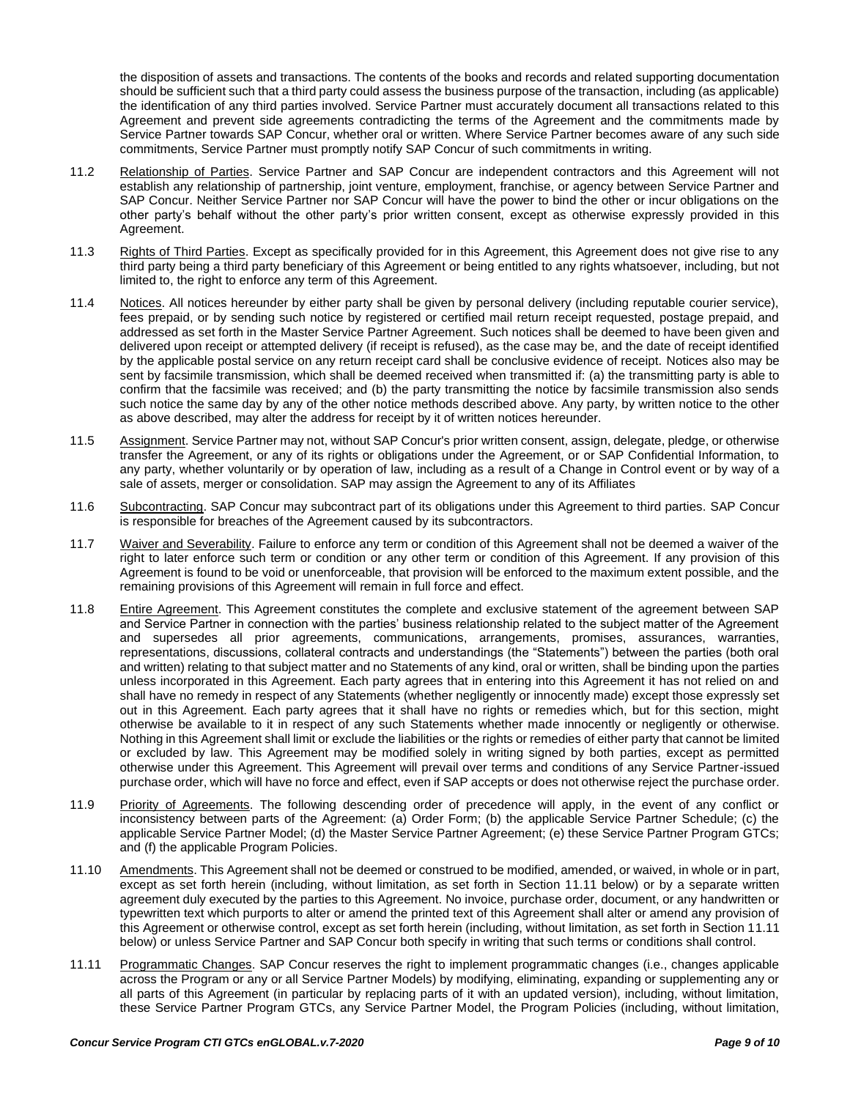the disposition of assets and transactions. The contents of the books and records and related supporting documentation should be sufficient such that a third party could assess the business purpose of the transaction, including (as applicable) the identification of any third parties involved. Service Partner must accurately document all transactions related to this Agreement and prevent side agreements contradicting the terms of the Agreement and the commitments made by Service Partner towards SAP Concur, whether oral or written. Where Service Partner becomes aware of any such side commitments, Service Partner must promptly notify SAP Concur of such commitments in writing.

- 11.2 Relationship of Parties. Service Partner and SAP Concur are independent contractors and this Agreement will not establish any relationship of partnership, joint venture, employment, franchise, or agency between Service Partner and SAP Concur. Neither Service Partner nor SAP Concur will have the power to bind the other or incur obligations on the other party's behalf without the other party's prior written consent, except as otherwise expressly provided in this Agreement.
- 11.3 Rights of Third Parties. Except as specifically provided for in this Agreement, this Agreement does not give rise to any third party being a third party beneficiary of this Agreement or being entitled to any rights whatsoever, including, but not limited to, the right to enforce any term of this Agreement.
- 11.4 Notices. All notices hereunder by either party shall be given by personal delivery (including reputable courier service), fees prepaid, or by sending such notice by registered or certified mail return receipt requested, postage prepaid, and addressed as set forth in the Master Service Partner Agreement. Such notices shall be deemed to have been given and delivered upon receipt or attempted delivery (if receipt is refused), as the case may be, and the date of receipt identified by the applicable postal service on any return receipt card shall be conclusive evidence of receipt. Notices also may be sent by facsimile transmission, which shall be deemed received when transmitted if: (a) the transmitting party is able to confirm that the facsimile was received; and (b) the party transmitting the notice by facsimile transmission also sends such notice the same day by any of the other notice methods described above. Any party, by written notice to the other as above described, may alter the address for receipt by it of written notices hereunder.
- 11.5 Assignment. Service Partner may not, without SAP Concur's prior written consent, assign, delegate, pledge, or otherwise transfer the Agreement, or any of its rights or obligations under the Agreement, or or SAP Confidential Information, to any party, whether voluntarily or by operation of law, including as a result of a Change in Control event or by way of a sale of assets, merger or consolidation. SAP may assign the Agreement to any of its Affiliates
- 11.6 Subcontracting. SAP Concur may subcontract part of its obligations under this Agreement to third parties. SAP Concur is responsible for breaches of the Agreement caused by its subcontractors.
- 11.7 Waiver and Severability. Failure to enforce any term or condition of this Agreement shall not be deemed a waiver of the right to later enforce such term or condition or any other term or condition of this Agreement. If any provision of this Agreement is found to be void or unenforceable, that provision will be enforced to the maximum extent possible, and the remaining provisions of this Agreement will remain in full force and effect.
- 11.8 Entire Agreement. This Agreement constitutes the complete and exclusive statement of the agreement between SAP and Service Partner in connection with the parties' business relationship related to the subject matter of the Agreement and supersedes all prior agreements, communications, arrangements, promises, assurances, warranties, representations, discussions, collateral contracts and understandings (the "Statements") between the parties (both oral and written) relating to that subject matter and no Statements of any kind, oral or written, shall be binding upon the parties unless incorporated in this Agreement. Each party agrees that in entering into this Agreement it has not relied on and shall have no remedy in respect of any Statements (whether negligently or innocently made) except those expressly set out in this Agreement. Each party agrees that it shall have no rights or remedies which, but for this section, might otherwise be available to it in respect of any such Statements whether made innocently or negligently or otherwise. Nothing in this Agreement shall limit or exclude the liabilities or the rights or remedies of either party that cannot be limited or excluded by law. This Agreement may be modified solely in writing signed by both parties, except as permitted otherwise under this Agreement. This Agreement will prevail over terms and conditions of any Service Partner-issued purchase order, which will have no force and effect, even if SAP accepts or does not otherwise reject the purchase order.
- 11.9 Priority of Agreements. The following descending order of precedence will apply, in the event of any conflict or inconsistency between parts of the Agreement: (a) Order Form; (b) the applicable Service Partner Schedule; (c) the applicable Service Partner Model; (d) the Master Service Partner Agreement; (e) these Service Partner Program GTCs; and (f) the applicable Program Policies.
- 11.10 Amendments. This Agreement shall not be deemed or construed to be modified, amended, or waived, in whole or in part, except as set forth herein (including, without limitation, as set forth in Section 11.11 below) or by a separate written agreement duly executed by the parties to this Agreement. No invoice, purchase order, document, or any handwritten or typewritten text which purports to alter or amend the printed text of this Agreement shall alter or amend any provision of this Agreement or otherwise control, except as set forth herein (including, without limitation, as set forth in Section 11.11 below) or unless Service Partner and SAP Concur both specify in writing that such terms or conditions shall control.
- 11.11 Programmatic Changes. SAP Concur reserves the right to implement programmatic changes (i.e., changes applicable across the Program or any or all Service Partner Models) by modifying, eliminating, expanding or supplementing any or all parts of this Agreement (in particular by replacing parts of it with an updated version), including, without limitation, these Service Partner Program GTCs, any Service Partner Model, the Program Policies (including, without limitation,